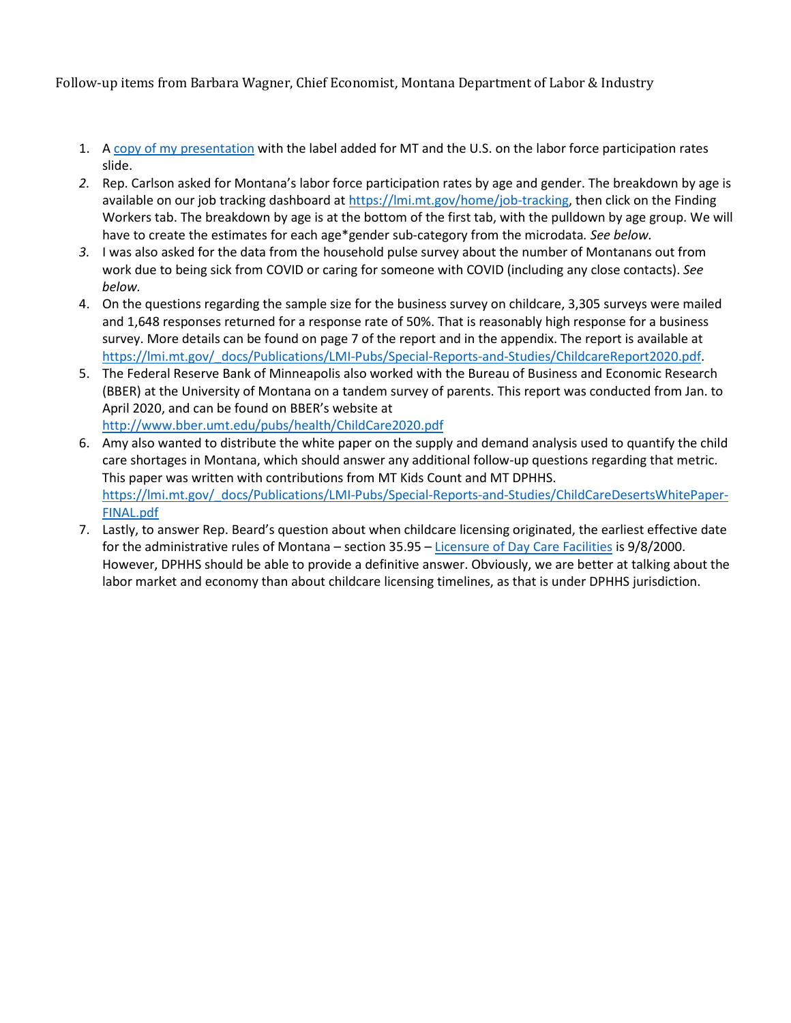Follow-up items from Barbara Wagner, Chief Economist, Montana Department of Labor & Industry

- 1. A [copy of my presentation](https://leg.mt.gov/content/publications/fiscal/2023-Interim/Jan-2022/DLI-MARA-Jan-2022.pdf) with the label added for MT and the U.S. on the labor force participation rates slide.
- *2.* Rep. Carlson asked for Montana's labor force participation rates by age and gender. The breakdown by age is available on our job tracking dashboard at [https://lmi.mt.gov/home/job-tracking,](https://lmi.mt.gov/home/job-tracking) then click on the Finding Workers tab. The breakdown by age is at the bottom of the first tab, with the pulldown by age group. We will have to create the estimates for each age\*gender sub-category from the microdata*. See below.*
- *3.* I was also asked for the data from the household pulse survey about the number of Montanans out from work due to being sick from COVID or caring for someone with COVID (including any close contacts). *See below.*
- 4. On the questions regarding the sample size for the business survey on childcare, 3,305 surveys were mailed and 1,648 responses returned for a response rate of 50%. That is reasonably high response for a business survey. More details can be found on page 7 of the report and in the appendix. The report is available at [https://lmi.mt.gov/\\_docs/Publications/LMI-Pubs/Special-Reports-and-Studies/ChildcareReport2020.pdf.](https://lmi.mt.gov/_docs/Publications/LMI-Pubs/Special-Reports-and-Studies/ChildcareReport2020.pdf)
- 5. The Federal Reserve Bank of Minneapolis also worked with the Bureau of Business and Economic Research (BBER) at the University of Montana on a tandem survey of parents. This report was conducted from Jan. to April 2020, and can be found on BBER's website at <http://www.bber.umt.edu/pubs/health/ChildCare2020.pdf>
- 6. Amy also wanted to distribute the white paper on the supply and demand analysis used to quantify the child care shortages in Montana, which should answer any additional follow-up questions regarding that metric. This paper was written with contributions from MT Kids Count and MT DPHHS. [https://lmi.mt.gov/\\_docs/Publications/LMI-Pubs/Special-Reports-and-Studies/ChildCareDesertsWhitePaper-](https://lmi.mt.gov/_docs/Publications/LMI-Pubs/Special-Reports-and-Studies/ChildCareDesertsWhitePaper-FINAL.pdf)[FINAL.pdf](https://lmi.mt.gov/_docs/Publications/LMI-Pubs/Special-Reports-and-Studies/ChildCareDesertsWhitePaper-FINAL.pdf)
- 7. Lastly, to answer Rep. Beard's question about when childcare licensing originated, the earliest effective date for the administrative rules of Montana – section 35.95 – [Licensure of Day Care Facilities](https://rules.mt.gov/gateway/ChapterHome.asp?Chapter=37%2E95) is 9/8/2000. However, DPHHS should be able to provide a definitive answer. Obviously, we are better at talking about the labor market and economy than about childcare licensing timelines, as that is under DPHHS jurisdiction.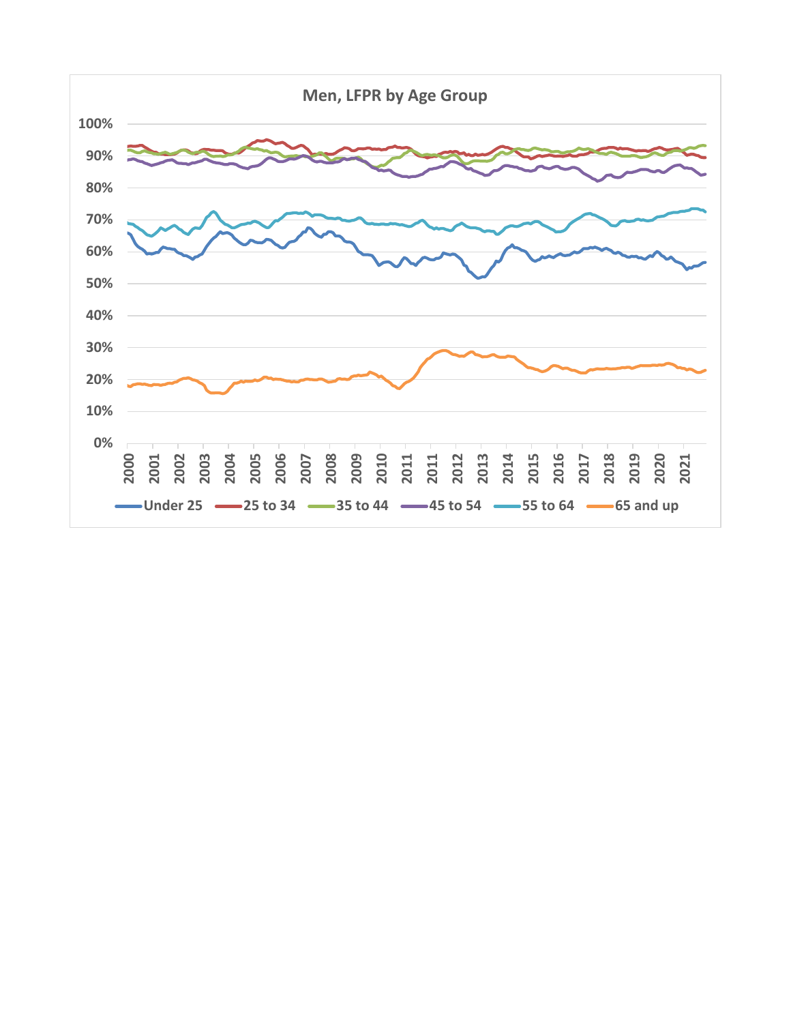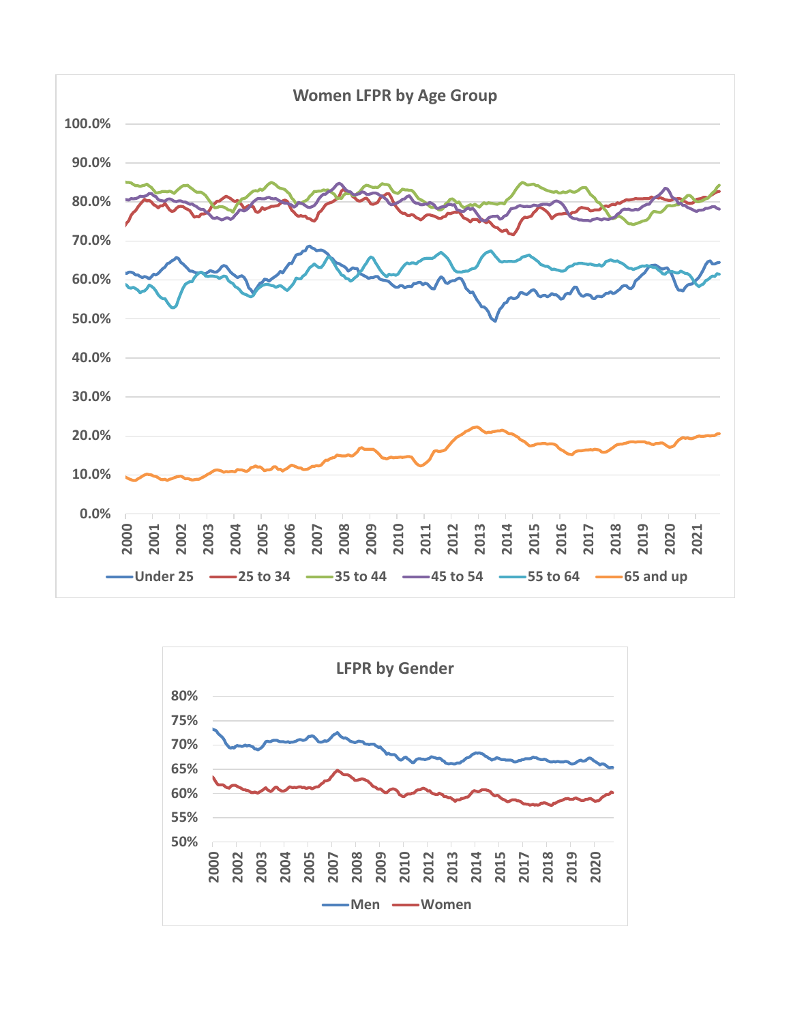

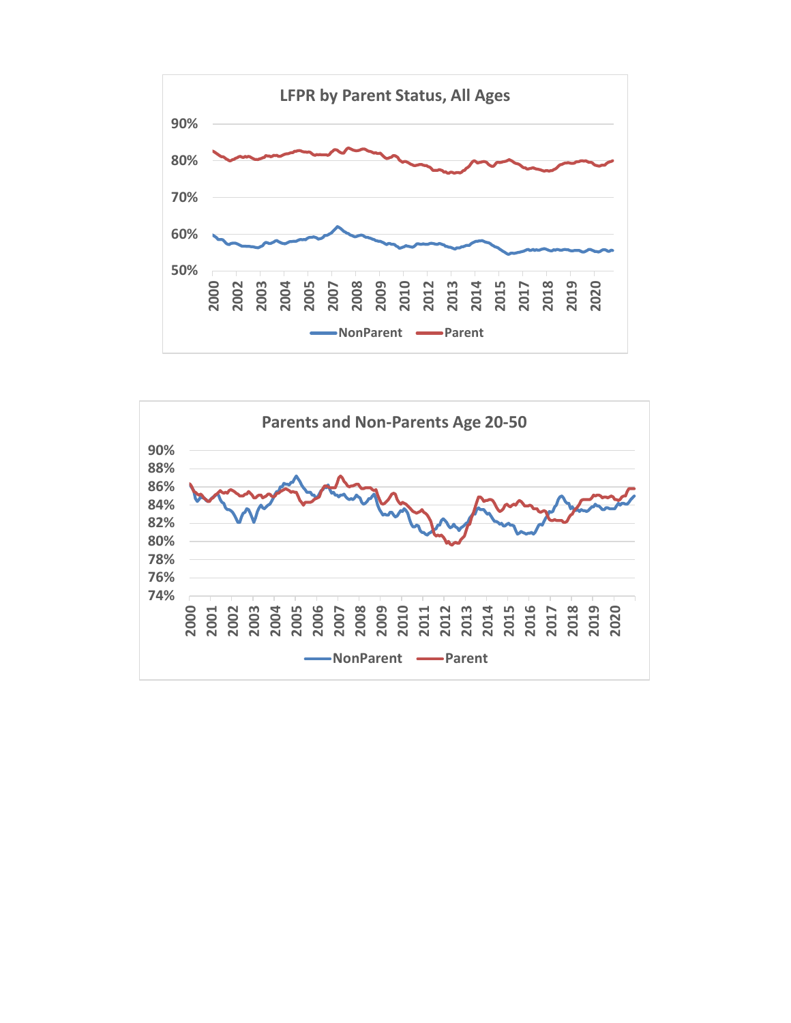